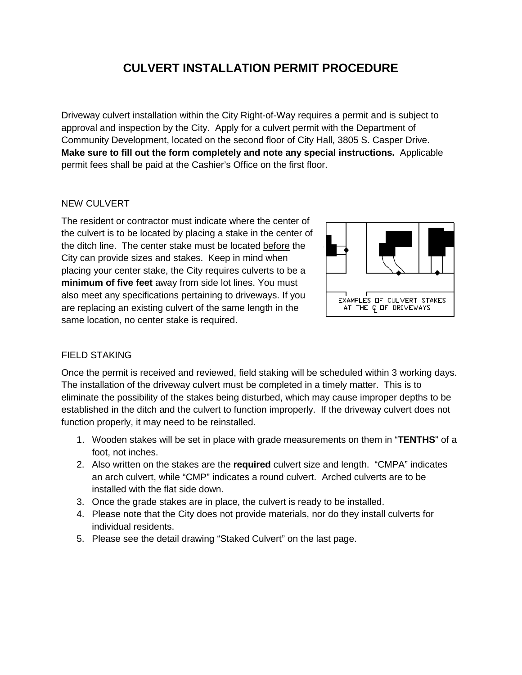## **CULVERT INSTALLATION PERMIT PROCEDURE**

Driveway culvert installation within the City Right-of-Way requires a permit and is subject to approval and inspection by the City. Apply for a culvert permit with the Department of Community Development, located on the second floor of City Hall, 3805 S. Casper Drive. **Make sure to fill out the form completely and note any special instructions.** Applicable permit fees shall be paid at the Cashier's Office on the first floor.

#### NEW CULVERT

The resident or contractor must indicate where the center of the culvert is to be located by placing a stake in the center of the ditch line. The center stake must be located before the City can provide sizes and stakes. Keep in mind when placing your center stake, the City requires culverts to be a **minimum of five feet** away from side lot lines. You must also meet any specifications pertaining to driveways. If you are replacing an existing culvert of the same length in the same location, no center stake is required.



#### FIELD STAKING

Once the permit is received and reviewed, field staking will be scheduled within 3 working days. The installation of the driveway culvert must be completed in a timely matter. This is to eliminate the possibility of the stakes being disturbed, which may cause improper depths to be established in the ditch and the culvert to function improperly. If the driveway culvert does not function properly, it may need to be reinstalled.

- 1. Wooden stakes will be set in place with grade measurements on them in "**TENTHS**" of a foot, not inches.
- 2. Also written on the stakes are the **required** culvert size and length. "CMPA" indicates an arch culvert, while "CMP" indicates a round culvert. Arched culverts are to be installed with the flat side down.
- 3. Once the grade stakes are in place, the culvert is ready to be installed.
- 4. Please note that the City does not provide materials, nor do they install culverts for individual residents.
- 5. Please see the detail drawing "Staked Culvert" on the last page.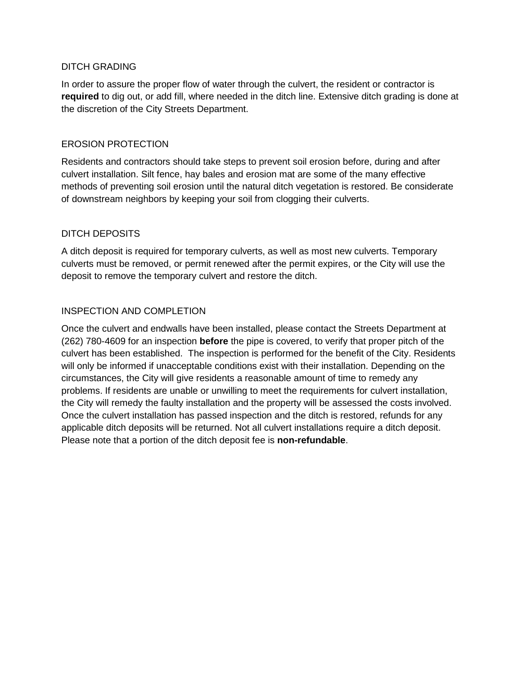#### DITCH GRADING

In order to assure the proper flow of water through the culvert, the resident or contractor is **required** to dig out, or add fill, where needed in the ditch line. Extensive ditch grading is done at the discretion of the City Streets Department.

#### EROSION PROTECTION

Residents and contractors should take steps to prevent soil erosion before, during and after culvert installation. Silt fence, hay bales and erosion mat are some of the many effective methods of preventing soil erosion until the natural ditch vegetation is restored. Be considerate of downstream neighbors by keeping your soil from clogging their culverts.

## DITCH DEPOSITS

A ditch deposit is required for temporary culverts, as well as most new culverts. Temporary culverts must be removed, or permit renewed after the permit expires, or the City will use the deposit to remove the temporary culvert and restore the ditch.

#### INSPECTION AND COMPLETION

Once the culvert and endwalls have been installed, please contact the Streets Department at (262) 780-4609 for an inspection **before** the pipe is covered, to verify that proper pitch of the culvert has been established. The inspection is performed for the benefit of the City. Residents will only be informed if unacceptable conditions exist with their installation. Depending on the circumstances, the City will give residents a reasonable amount of time to remedy any problems. If residents are unable or unwilling to meet the requirements for culvert installation, the City will remedy the faulty installation and the property will be assessed the costs involved. Once the culvert installation has passed inspection and the ditch is restored, refunds for any applicable ditch deposits will be returned. Not all culvert installations require a ditch deposit. Please note that a portion of the ditch deposit fee is **non-refundable**.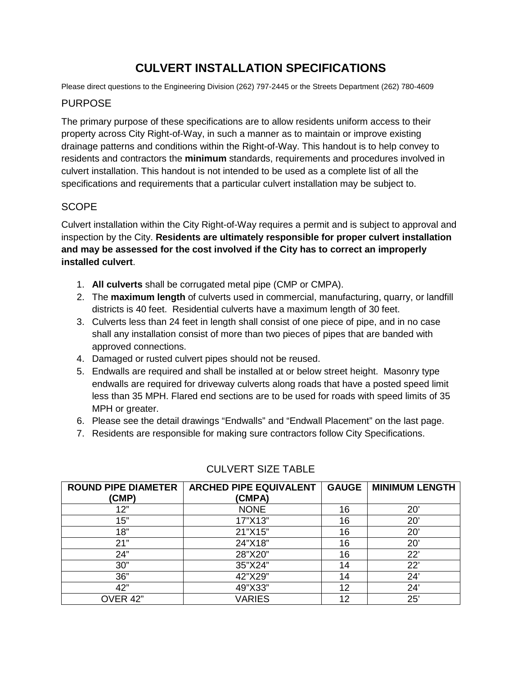# **CULVERT INSTALLATION SPECIFICATIONS**

Please direct questions to the Engineering Division (262) 797-2445 or the Streets Department (262) 780-4609

#### PURPOSE

The primary purpose of these specifications are to allow residents uniform access to their property across City Right-of-Way, in such a manner as to maintain or improve existing drainage patterns and conditions within the Right-of-Way. This handout is to help convey to residents and contractors the **minimum** standards, requirements and procedures involved in culvert installation. This handout is not intended to be used as a complete list of all the specifications and requirements that a particular culvert installation may be subject to.

## **SCOPE**

Culvert installation within the City Right-of-Way requires a permit and is subject to approval and inspection by the City. **Residents are ultimately responsible for proper culvert installation and may be assessed for the cost involved if the City has to correct an improperly installed culvert**.

- 1. **All culverts** shall be corrugated metal pipe (CMP or CMPA).
- 2. The **maximum length** of culverts used in commercial, manufacturing, quarry, or landfill districts is 40 feet. Residential culverts have a maximum length of 30 feet.
- 3. Culverts less than 24 feet in length shall consist of one piece of pipe, and in no case shall any installation consist of more than two pieces of pipes that are banded with approved connections.
- 4. Damaged or rusted culvert pipes should not be reused.
- 5. Endwalls are required and shall be installed at or below street height. Masonry type endwalls are required for driveway culverts along roads that have a posted speed limit less than 35 MPH. Flared end sections are to be used for roads with speed limits of 35 MPH or greater.
- 6. Please see the detail drawings "Endwalls" and "Endwall Placement" on the last page.
- 7. Residents are responsible for making sure contractors follow City Specifications.

| <b>ROUND PIPE DIAMETER</b> | <b>ARCHED PIPE EQUIVALENT</b> | <b>GAUGE</b> | <b>MINIMUM LENGTH</b> |
|----------------------------|-------------------------------|--------------|-----------------------|
| (CMP)                      | (CMPA)                        |              |                       |
| 12"                        | <b>NONE</b>                   | 16           | 20'                   |
| 15"                        | 17"X13"                       | 16           | 20'                   |
| 18"                        | 21"X15"                       | 16           | 20'                   |
| 21"                        | 24"X18"                       | 16           | 20'                   |
| 24"                        | 28"X20"                       | 16           | 22'                   |
| 30"                        | 35"X24"                       | 14           | 22'                   |
| 36"                        | 42"X29"                       | 14           | 24'                   |
| 42"                        | 49"X33"                       | 12           | 24'                   |
| OVER 42"                   | <b>VARIES</b>                 | 12           | 25'                   |

## CULVERT SIZE TABLE